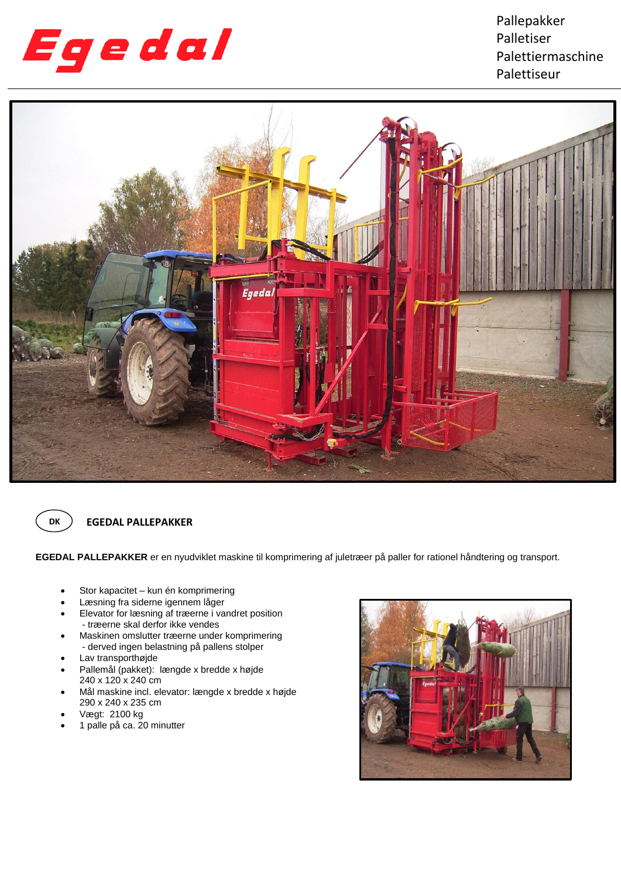

Pallepakker Palletiser Palettiermaschine Palettiseur





## **EGEDAL PALLEPAKKER**

**EGEDAL PALLEPAKKER** er en nyudviklet maskine til komprimering af juletræer på paller for rationel håndtering og transport.

- Stor kapacitet kun én komprimering
- Læsning fra siderne igennem låger
- Elevator for læsning af træerne i vandret position - træerne skal derfor ikke vendes
- Maskinen omslutter træerne under komprimering - derved ingen belastning på pallens stolper
- Lav transporthøjde
- Pallemål (pakket): længde x bredde x højde 240 x 120 x 240 cm
- Mål maskine incl. elevator: længde x bredde x højde 290 x 240 x 235 cm
- Vægt: 2100 kg
- 1 palle på ca. 20 minutter